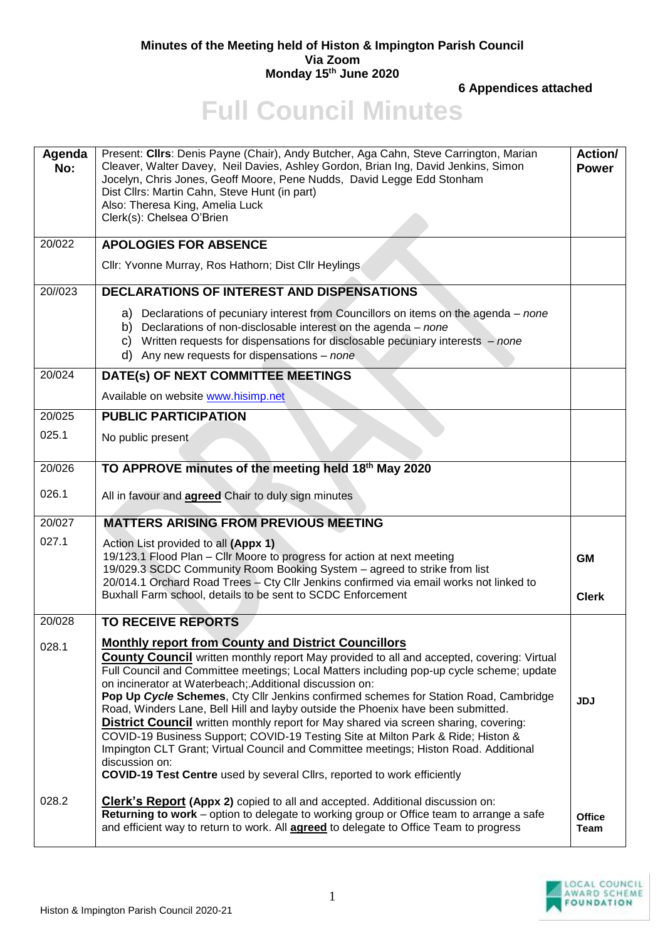## **Minutes of the Meeting held of Histon & Impington Parish Council Via Zoom Monday 15th June 2020**

**6 Appendices attached**

## **Full Council Minutes**

| Agenda<br>No: | Present: Cllrs: Denis Payne (Chair), Andy Butcher, Aga Cahn, Steve Carrington, Marian<br>Cleaver, Walter Davey, Neil Davies, Ashley Gordon, Brian Ing, David Jenkins, Simon<br>Jocelyn, Chris Jones, Geoff Moore, Pene Nudds, David Legge Edd Stonham<br>Dist Cllrs: Martin Cahn, Steve Hunt (in part)<br>Also: Theresa King, Amelia Luck<br>Clerk(s): Chelsea O'Brien                                                                                                                                                                                                                                                                                                                                                                                                                                                                                                     | Action/<br><b>Power</b>      |
|---------------|----------------------------------------------------------------------------------------------------------------------------------------------------------------------------------------------------------------------------------------------------------------------------------------------------------------------------------------------------------------------------------------------------------------------------------------------------------------------------------------------------------------------------------------------------------------------------------------------------------------------------------------------------------------------------------------------------------------------------------------------------------------------------------------------------------------------------------------------------------------------------|------------------------------|
| 20/022        | <b>APOLOGIES FOR ABSENCE</b>                                                                                                                                                                                                                                                                                                                                                                                                                                                                                                                                                                                                                                                                                                                                                                                                                                               |                              |
|               | Cllr: Yvonne Murray, Ros Hathorn; Dist Cllr Heylings                                                                                                                                                                                                                                                                                                                                                                                                                                                                                                                                                                                                                                                                                                                                                                                                                       |                              |
| 20//023       | <b>DECLARATIONS OF INTEREST AND DISPENSATIONS</b>                                                                                                                                                                                                                                                                                                                                                                                                                                                                                                                                                                                                                                                                                                                                                                                                                          |                              |
|               | a) Declarations of pecuniary interest from Councillors on items on the agenda – none<br>b) Declarations of non-disclosable interest on the agenda $-$ none<br>c) Written requests for dispensations for disclosable pecuniary interests $-$ none<br>d) Any new requests for dispensations $-$ none                                                                                                                                                                                                                                                                                                                                                                                                                                                                                                                                                                         |                              |
| 20/024        | DATE(s) OF NEXT COMMITTEE MEETINGS                                                                                                                                                                                                                                                                                                                                                                                                                                                                                                                                                                                                                                                                                                                                                                                                                                         |                              |
|               | Available on website www.hisimp.net                                                                                                                                                                                                                                                                                                                                                                                                                                                                                                                                                                                                                                                                                                                                                                                                                                        |                              |
| 20/025        | <b>PUBLIC PARTICIPATION</b>                                                                                                                                                                                                                                                                                                                                                                                                                                                                                                                                                                                                                                                                                                                                                                                                                                                |                              |
| 025.1         | No public present                                                                                                                                                                                                                                                                                                                                                                                                                                                                                                                                                                                                                                                                                                                                                                                                                                                          |                              |
| 20/026        | TO APPROVE minutes of the meeting held 18th May 2020                                                                                                                                                                                                                                                                                                                                                                                                                                                                                                                                                                                                                                                                                                                                                                                                                       |                              |
| 026.1         | All in favour and <b>agreed</b> Chair to duly sign minutes                                                                                                                                                                                                                                                                                                                                                                                                                                                                                                                                                                                                                                                                                                                                                                                                                 |                              |
| 20/027        | <b>MATTERS ARISING FROM PREVIOUS MEETING</b>                                                                                                                                                                                                                                                                                                                                                                                                                                                                                                                                                                                                                                                                                                                                                                                                                               |                              |
| 027.1         | Action List provided to all (Appx 1)<br>19/123.1 Flood Plan - Cllr Moore to progress for action at next meeting<br>19/029.3 SCDC Community Room Booking System - agreed to strike from list<br>20/014.1 Orchard Road Trees - Cty Cllr Jenkins confirmed via email works not linked to<br>Buxhall Farm school, details to be sent to SCDC Enforcement                                                                                                                                                                                                                                                                                                                                                                                                                                                                                                                       | <b>GM</b><br><b>Clerk</b>    |
|               |                                                                                                                                                                                                                                                                                                                                                                                                                                                                                                                                                                                                                                                                                                                                                                                                                                                                            |                              |
| 20/028        | <b>TO RECEIVE REPORTS</b>                                                                                                                                                                                                                                                                                                                                                                                                                                                                                                                                                                                                                                                                                                                                                                                                                                                  |                              |
| 028.1         | <b>Monthly report from County and District Councillors</b><br><b>County Council</b> written monthly report May provided to all and accepted, covering: Virtual<br>Full Council and Committee meetings; Local Matters including pop-up cycle scheme; update<br>on incinerator at Waterbeach; Additional discussion on:<br>Pop Up Cycle Schemes, Cty Cllr Jenkins confirmed schemes for Station Road, Cambridge<br>Road, Winders Lane, Bell Hill and layby outside the Phoenix have been submitted.<br>District Council written monthly report for May shared via screen sharing, covering:<br>COVID-19 Business Support; COVID-19 Testing Site at Milton Park & Ride; Histon &<br>Impington CLT Grant; Virtual Council and Committee meetings; Histon Road. Additional<br>discussion on:<br><b>COVID-19 Test Centre</b> used by several Cllrs, reported to work efficiently | <b>JDJ</b>                   |
| 028.2         | <b>Clerk's Report (Appx 2)</b> copied to all and accepted. Additional discussion on:<br><b>Returning to work</b> – option to delegate to working group or Office team to arrange a safe<br>and efficient way to return to work. All <b>agreed</b> to delegate to Office Team to progress                                                                                                                                                                                                                                                                                                                                                                                                                                                                                                                                                                                   | <b>Office</b><br><b>Team</b> |

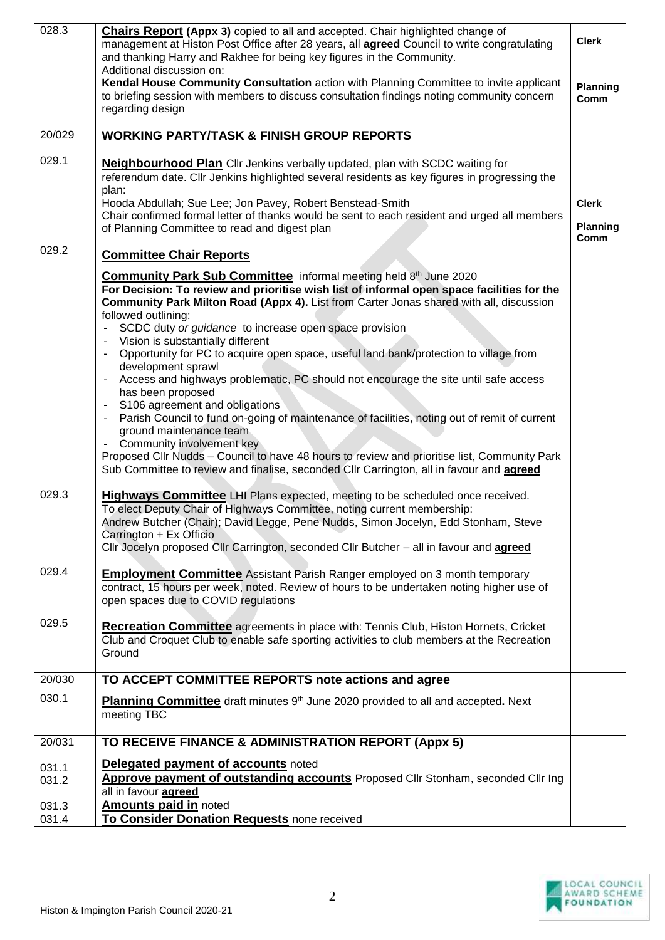| 028.3          | <b>Chairs Report (Appx 3)</b> copied to all and accepted. Chair highlighted change of<br>management at Histon Post Office after 28 years, all agreed Council to write congratulating<br>and thanking Harry and Rakhee for being key figures in the Community.<br>Additional discussion on:                                                                           | <b>Clerk</b>                            |
|----------------|----------------------------------------------------------------------------------------------------------------------------------------------------------------------------------------------------------------------------------------------------------------------------------------------------------------------------------------------------------------------|-----------------------------------------|
|                | Kendal House Community Consultation action with Planning Committee to invite applicant<br>to briefing session with members to discuss consultation findings noting community concern<br>regarding design                                                                                                                                                             | <b>Planning</b><br>Comm                 |
| 20/029         | <b>WORKING PARTY/TASK &amp; FINISH GROUP REPORTS</b>                                                                                                                                                                                                                                                                                                                 |                                         |
| 029.1          | <b>Neighbourhood Plan</b> Cllr Jenkins verbally updated, plan with SCDC waiting for<br>referendum date. Cllr Jenkins highlighted several residents as key figures in progressing the<br>plan:                                                                                                                                                                        |                                         |
|                | Hooda Abdullah; Sue Lee; Jon Pavey, Robert Benstead-Smith<br>Chair confirmed formal letter of thanks would be sent to each resident and urged all members<br>of Planning Committee to read and digest plan                                                                                                                                                           | <b>Clerk</b><br><b>Planning</b><br>Comm |
| 029.2          | <b>Committee Chair Reports</b>                                                                                                                                                                                                                                                                                                                                       |                                         |
|                | Community Park Sub Committee informal meeting held 8th June 2020<br>For Decision: To review and prioritise wish list of informal open space facilities for the<br>Community Park Milton Road (Appx 4). List from Carter Jonas shared with all, discussion<br>followed outlining:<br>SCDC duty or guidance to increase open space provision                           |                                         |
|                | Vision is substantially different<br>Opportunity for PC to acquire open space, useful land bank/protection to village from<br>$\blacksquare$<br>development sprawl<br>Access and highways problematic, PC should not encourage the site until safe access<br>$\overline{\phantom{a}}$                                                                                |                                         |
|                | has been proposed                                                                                                                                                                                                                                                                                                                                                    |                                         |
|                | S106 agreement and obligations<br>$\blacksquare$<br>Parish Council to fund on-going of maintenance of facilities, noting out of remit of current<br>ground maintenance team<br>Community involvement key                                                                                                                                                             |                                         |
|                | Proposed Cllr Nudds - Council to have 48 hours to review and prioritise list, Community Park<br>Sub Committee to review and finalise, seconded Cllr Carrington, all in favour and <b>agreed</b>                                                                                                                                                                      |                                         |
| 029.3          | Highways Committee LHI Plans expected, meeting to be scheduled once received.<br>To elect Deputy Chair of Highways Committee, noting current membership:<br>Andrew Butcher (Chair); David Legge, Pene Nudds, Simon Jocelyn, Edd Stonham, Steve<br>Carrington + Ex Officio<br>Cllr Jocelyn proposed Cllr Carrington, seconded Cllr Butcher - all in favour and agreed |                                         |
| 029.4          | <b>Employment Committee</b> Assistant Parish Ranger employed on 3 month temporary<br>contract, 15 hours per week, noted. Review of hours to be undertaken noting higher use of<br>open spaces due to COVID regulations                                                                                                                                               |                                         |
| 029.5          | <b>Recreation Committee</b> agreements in place with: Tennis Club, Histon Hornets, Cricket<br>Club and Croquet Club to enable safe sporting activities to club members at the Recreation<br>Ground                                                                                                                                                                   |                                         |
| 20/030         | TO ACCEPT COMMITTEE REPORTS note actions and agree                                                                                                                                                                                                                                                                                                                   |                                         |
| 030.1          | Planning Committee draft minutes 9th June 2020 provided to all and accepted. Next<br>meeting TBC                                                                                                                                                                                                                                                                     |                                         |
| 20/031         | TO RECEIVE FINANCE & ADMINISTRATION REPORT (Appx 5)                                                                                                                                                                                                                                                                                                                  |                                         |
| 031.1<br>031.2 | <b>Delegated payment of accounts noted</b><br>Approve payment of outstanding accounts Proposed Cllr Stonham, seconded Cllr Ing<br>all in favour <b>agreed</b>                                                                                                                                                                                                        |                                         |
| 031.3<br>031.4 | <b>Amounts paid in noted</b><br>To Consider Donation Requests none received                                                                                                                                                                                                                                                                                          |                                         |